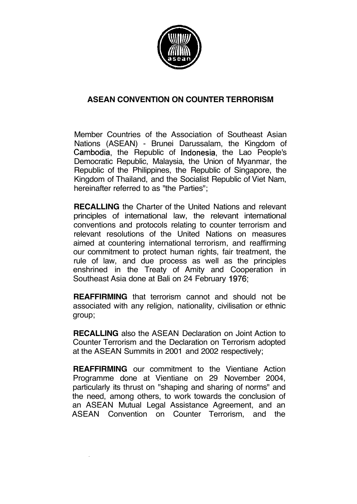

# **ASEAN CONVENTION ON COUNTER TERRORISM**

Member Countries of the Association of Southeast Asian Nations (ASEAN) - Brunei Darussalam, the Kingdom of Cambodia, the Republic of Indonesia, the Lao People's Democratic Republic, Malaysia, the Union of Myanmar, the Republic of the Philippines, the Republic of Singapore, the Kingdom of Thailand, and the Socialist Republic of Viet Nam, hereinafter referred to as "the Parties";

**RECALLING** the Charter of the United Nations and relevant principles of international law, the relevant international conventions and protocols relating to counter terrorism and relevant resolutions of the United Nations on measures aimed at countering international terrorism, and reaffirming our commitment to protect human rights, fair treatment, the rule of law, and due process as well as the principles enshrined in the Treaty of Amity and Cooperation in Southeast Asia done at Bali on 24 February 1976;

**REAFFIRMING** that terrorism cannot and should not be associated with any religion, nationality, civilisation or ethnic group;

**RECALLING** also the ASEAN Declaration on Joint Action to Counter Terrorism and the Declaration on Terrorism adopted at the ASEAN Summits in 2001 and 2002 respectively;

**REAFFIRMING** our commitment to the Vientiane Action Programme done at Vientiane on 29 November 2004, particularly its thrust on "shaping and sharing of norms" and the need, among others, to work towards the conclusion of an ASEAN Mutual Legal Assistance Agreement, and an ASEAN Convention on Counter Terrorism, and the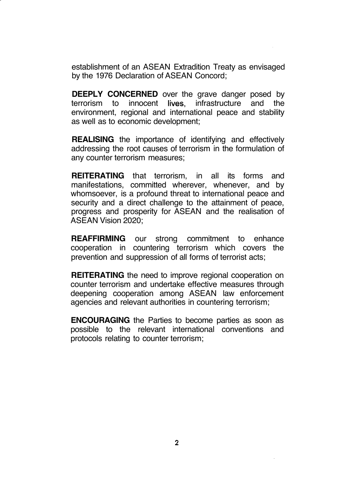establishment of an ASEAN Extradition Treaty as envisaged by the 1976 Declaration of ASEAN Concord;

**DEEPLY CONCERNED** over the grave danger posed by terrorism to innocent lives, infrastructure and the environment, regional and international peace and stability as well as to economic development;

**REALISING** the importance of identifying and effectively addressing the root causes of terrorism in the formulation of any counter terrorism measures;

**REITERATING** that terrorism, in all its forms and manifestations, committed wherever, whenever, and by whomsoever, is a profound threat to international peace and security and a direct challenge to the attainment of peace, progress and prosperity for ASEAN and the realisation of ASEAN Vision 2020;

**REAFFIRMING** our strong commitment to enhance cooperation in countering terrorism which covers the prevention and suppression of all forms of terrorist acts;

**REITERATING** the need to improve regional cooperation on counter terrorism and undertake effective measures through deepening cooperation among ASEAN law enforcement agencies and relevant authorities in countering terrorism;

**ENCOURAGING** the Parties to become parties as soon as possible to the relevant international conventions and protocols relating to counter terrorism;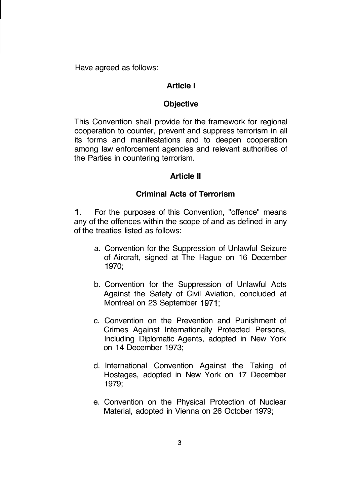Have agreed as follows:

#### **Article I**

#### **Objective**

This Convention shall provide for the framework for regional cooperation to counter, prevent and suppress terrorism in all its forms and manifestations and to deepen cooperation among law enforcement agencies and relevant authorities of the Parties in countering terrorism.

#### **Article II**

#### **Criminal Acts of Terrorism**

1. For the purposes of this Convention, "offence" means any of the offences within the scope of and as defined in any of the treaties listed as follows:

- a. Convention for the Suppression of Unlawful Seizure of Aircraft, signed at The Hague on 16 December 1970;
- b. Convention for the Suppression of Unlawful Acts Against the Safety of Civil Aviation, concluded at Montreal on 23 September 1971;
- c. Convention on the Prevention and Punishment of Crimes Against Internationally Protected Persons, Including Diplomatic Agents, adopted in New York on 14 December 1973;
- d. International Convention Against the Taking of Hostages, adopted in New York on 17 December 1979;
- e. Convention on the Physical Protection of Nuclear Material, adopted in Vienna on 26 October 1979;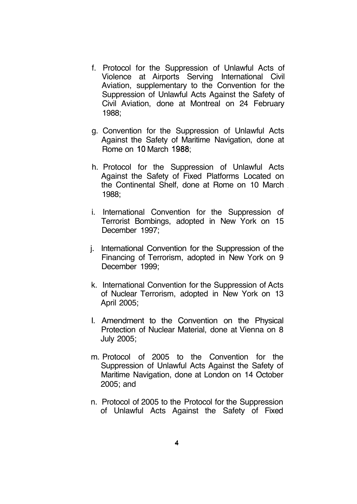- f. Protocol for the Suppression of Unlawful Acts of Violence at Airports Serving International Civil Aviation, supplementary to the Convention for the Suppression of Unlawful Acts Against the Safety of Civil Aviation, done at Montreal on 24 February 1988;
- g. Convention for the Suppression of Unlawful Acts Against the Safety of Maritime Navigation, done at Rome on 10 March 1988;
- h. Protocol for the Suppression of Unlawful Acts Against the Safety of Fixed Platforms Located on the Continental Shelf, done at Rome on 10 March 1988;
- i. International Convention for the Suppression of Terrorist Bombings, adopted in New York on 15 December 1997;
- j. International Convention for the Suppression of the Financing of Terrorism, adopted in New York on 9 December 1999;
- k. International Convention for the Suppression of Acts of Nuclear Terrorism, adopted in New York on 13 April 2005;
- I. Amendment to the Convention on the Physical Protection of Nuclear Material, done at Vienna on 8 July 2005;
- m. Protocol of 2005 to the Convention for the Suppression of Unlawful Acts Against the Safety of Maritime Navigation, done at London on 14 October 2005; and
- n. Protocol of 2005 to the Protocol for the Suppression of Unlawful Acts Against the Safety of Fixed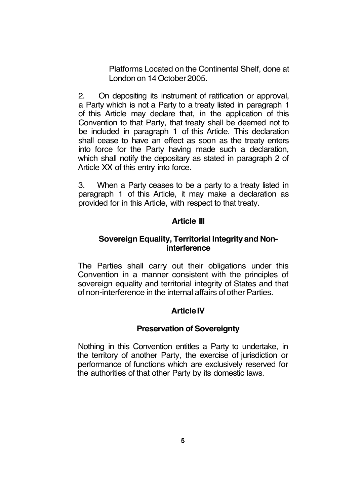Platforms Located on the Continental Shelf, done at London on 14 October 2005.

2. On depositing its instrument of ratification or approval, a Party which is not a Party to a treaty listed in paragraph 1 of this Article may declare that, in the application of this Convention to that Party, that treaty shall be deemed not to be included in paragraph 1 of this Article. This declaration shall cease to have an effect as soon as the treaty enters into force for the Party having made such a declaration, which shall notify the depositary as stated in paragraph 2 of Article XX of this entry into force.

3. When a Party ceases to be a party to a treaty listed in paragraph 1 of this Article, it may make a declaration as provided for in this Article, with respect to that treaty.

## **Article III**

## **Sovereign Equality, Territorial Integrity and Noninterference**

The Parties shall carry out their obligations under this Convention in a manner consistent with the principles of sovereign equality and territorial integrity of States and that of non-interference in the internal affairs of other Parties.

## **Article IV**

### **Preservation of Sovereignty**

Nothing in this Convention entitles a Party to undertake, in the territory of another Party, the exercise of jurisdiction or performance of functions which are exclusively reserved for the authorities of that other Party by its domestic laws.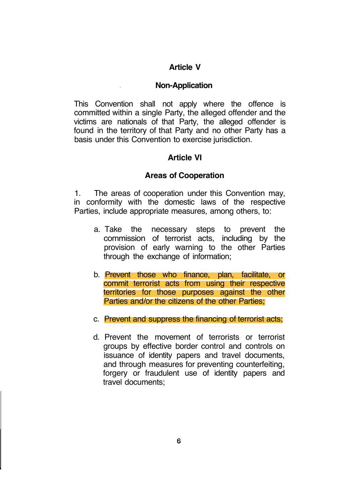## **Article V**

#### **Non-Application**

This Convention shall not apply where the offence is committed within a single Party, the alleged offender and the victims are nationals of that Party, the alleged offender is found in the territory of that Party and no other Party has a basis under this Convention to exercise jurisdiction.

### **Article VI**

#### **Areas of Cooperation**

1. The areas of cooperation under this Convention may, in conformity with the domestic laws of the respective Parties, include appropriate measures, among others, to:

- a. Take the necessary steps to prevent the commission of terrorist acts, including by the provision of early warning to the other Parties through the exchange of information;
- b. Prevent those who finance, plan, facilitate, or commit terrorist acts from using their respective territories for those purposes against the other Parties and/or the citizens of the other Parties;
- c. Prevent and suppress the financing of terrorist acts;
- d. Prevent the movement of terrorists or terrorist groups by effective border control and controls on issuance of identity papers and travel documents, and through measures for preventing counterfeiting, forgery or fraudulent use of identity papers and travel documents;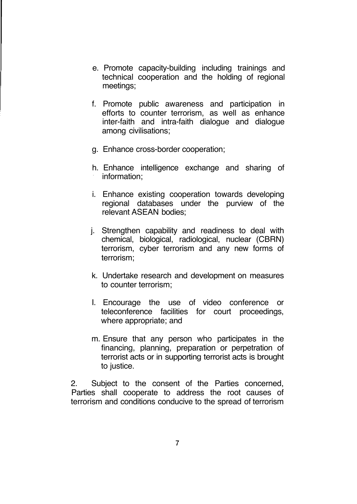- e. Promote capacity-building including trainings and technical cooperation and the holding of regional meetings;
- f. Promote public awareness and participation in efforts to counter terrorism, as well as enhance inter-faith and intra-faith dialogue and dialogue among civilisations;
- g. Enhance cross-border cooperation;
- h. Enhance intelligence exchange and sharing of information;
- i. Enhance existing cooperation towards developing regional databases under the purview of the relevant ASEAN bodies;
- j. Strengthen capability and readiness to deal with chemical, biological, radiological, nuclear (CBRN) terrorism, cyber terrorism and any new forms of terrorism;
- k. Undertake research and development on measures to counter terrorism;
- I. Encourage the use of video conference or teleconference facilities for court proceedings, where appropriate; and
- m. Ensure that any person who participates in the financing, planning, preparation or perpetration of terrorist acts or in supporting terrorist acts is brought to justice.

2. Subject to the consent of the Parties concerned, Parties shall cooperate to address the root causes of terrorism and conditions conducive to the spread of terrorism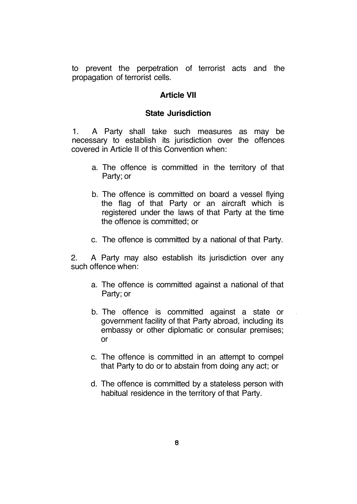to prevent the perpetration of terrorist acts and the propagation of terrorist cells.

#### **Article VII**

#### **State Jurisdiction**

1. A Party shall take such measures as may be necessary to establish its jurisdiction over the offences covered in Article II of this Convention when:

- a. The offence is committed in the territory of that Party; or
- b. The offence is committed on board a vessel flying the flag of that Party or an aircraft which is registered under the laws of that Party at the time the offence is committed; or
- c. The offence is committed by a national of that Party.

2. A Party may also establish its jurisdiction over any such offence when:

- a. The offence is committed against a national of that Party; or
- b. The offence is committed against a state or government facility of that Party abroad, including its embassy or other diplomatic or consular premises; or
- c. The offence is committed in an attempt to compel that Party to do or to abstain from doing any act; or
- d. The offence is committed by a stateless person with habitual residence in the territory of that Party.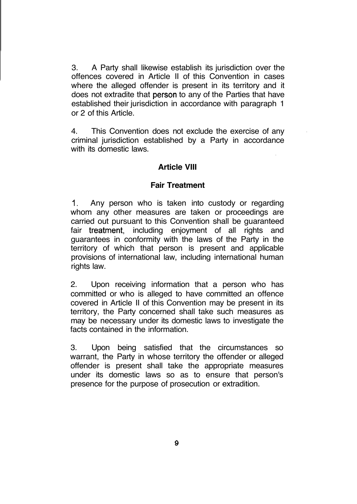3. A Party shall likewise establish its jurisdiction over the offences covered in Article II of this Convention in cases where the alleged offender is present in its territory and it does not extradite that person to any of the Parties that have established their jurisdiction in accordance with paragraph 1 or 2 of this Article.

4. This Convention does not exclude the exercise of any criminal jurisdiction established by a Party in accordance with its domestic laws.

### **Article VIII**

### **Fair Treatment**

1. Any person who is taken into custody or regarding whom any other measures are taken or proceedings are carried out pursuant to this Convention shall be guaranteed fair treatment, including enjoyment of all rights and guarantees in conformity with the laws of the Party in the territory of which that person is present and applicable provisions of international law, including international human rights law.

2. Upon receiving information that a person who has committed or who is alleged to have committed an offence covered in Article II of this Convention may be present in its territory, the Party concerned shall take such measures as may be necessary under its domestic laws to investigate the facts contained in the information.

3. Upon being satisfied that the circumstances so warrant, the Party in whose territory the offender or alleged offender is present shall take the appropriate measures under its domestic laws so as to ensure that person's presence for the purpose of prosecution or extradition.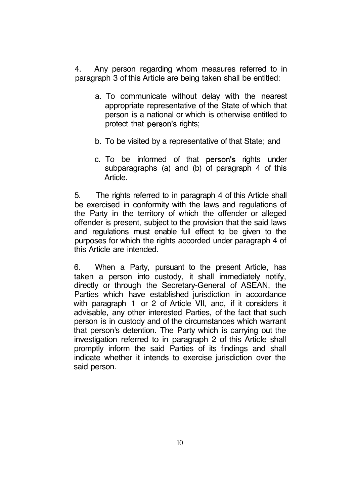4. Any person regarding whom measures referred to in paragraph 3 of this Article are being taken shall be entitled:

- a. To communicate without delay with the nearest appropriate representative of the State of which that person is a national or which is otherwise entitled to protect that person's rights;
- b. To be visited by a representative of that State; and
- c. To be informed of that person's rights under subparagraphs (a) and (b) of paragraph 4 of this Article.

5. The rights referred to in paragraph 4 of this Article shall be exercised in conformity with the laws and regulations of the Party in the territory of which the offender or alleged offender is present, subject to the provision that the said laws and regulations must enable full effect to be given to the purposes for which the rights accorded under paragraph 4 of this Article are intended.

6. When a Party, pursuant to the present Article, has taken a person into custody, it shall immediately notify, directly or through the Secretary-General of ASEAN, the Parties which have established jurisdiction in accordance with paragraph 1 or 2 of Article VII, and, if it considers it advisable, any other interested Parties, of the fact that such person is in custody and of the circumstances which warrant that person's detention. The Party which is carrying out the investigation referred to in paragraph 2 of this Article shall promptly inform the said Parties of its findings and shall indicate whether it intends to exercise jurisdiction over the said person.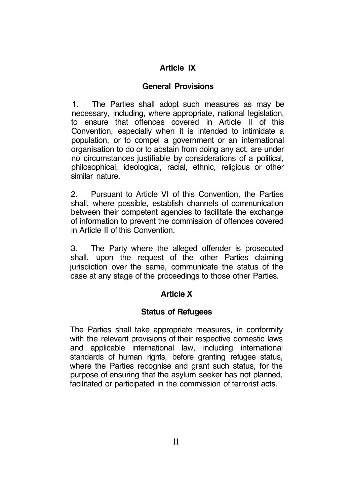# **Article IX**

## **General Provisions**

1. The Parties shall adopt such measures as may be necessary, including, where appropriate, national legislation, to ensure that offences covered in Article II of this Convention, especially when it is intended to intimidate a population, or to compel a government or an international organisation to do or to abstain from doing any act, are under no circumstances justifiable by considerations of a political, philosophical, ideological, racial, ethnic, religious or other similar nature.

2. Pursuant to Article VI of this Convention, the Parties shall, where possible, establish channels of communication between their competent agencies to facilitate the exchange of information to prevent the commission of offences covered in Article II of this Convention.

3. The Party where the alleged offender is prosecuted shall, upon the request of the other Parties claiming jurisdiction over the same, communicate the status of the case at any stage of the proceedings to those other Parties.

# **Article X**

# **Status of Refugees**

The Parties shall take appropriate measures, in conformity with the relevant provisions of their respective domestic laws and applicable international law, including international standards of human rights, before granting refugee status, where the Parties recognise and grant such status, for the purpose of ensuring that the asylum seeker has not planned, facilitated or participated in the commission of terrorist acts.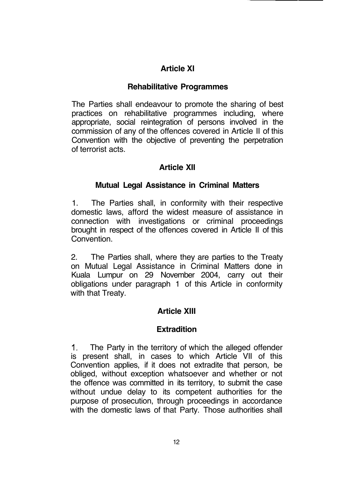# **Article XI**

# **Rehabilitative Programmes**

The Parties shall endeavour to promote the sharing of best practices on rehabilitative programmes including, where appropriate, social reintegration of persons involved in the commission of any of the offences covered in Article II of this Convention with the objective of preventing the perpetration of terrorist acts.

# **Article XII**

### **Mutual Legal Assistance in Criminal Matters**

1. The Parties shall, in conformity with their respective domestic laws, afford the widest measure of assistance in connection with investigations or criminal proceedings brought in respect of the offences covered in Article II of this Convention.

2. The Parties shall, where they are parties to the Treaty on Mutual Legal Assistance in Criminal Matters done in Kuala Lumpur on 29 November 2004, carry out their obligations under paragraph 1 of this Article in conformity with that Treaty.

## **Article XIII**

## **Extradition**

1. The Party in the territory of which the alleged offender is present shall, in cases to which Article VII of this Convention applies, if it does not extradite that person, be obliged, without exception whatsoever and whether or not the offence was committed in its territory, to submit the case without undue delay to its competent authorities for the purpose of prosecution, through proceedings in accordance with the domestic laws of that Party. Those authorities shall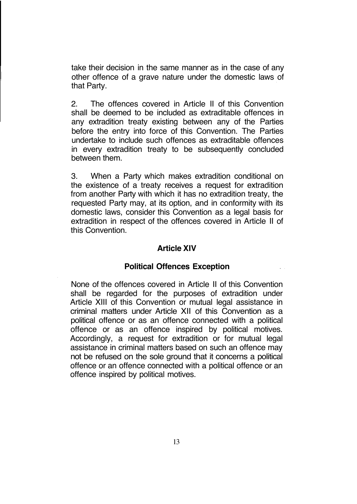take their decision in the same manner as in the case of any other offence of a grave nature under the domestic laws of that Party.

2. The offences covered in Article II of this Convention shall be deemed to be included as extraditable offences in any extradition treaty existing between any of the Parties before the entry into force of this Convention. The Parties undertake to include such offences as extraditable offences in every extradition treaty to be subsequently concluded between them.

3. When a Party which makes extradition conditional on the existence of a treaty receives a request for extradition from another Party with which it has no extradition treaty, the requested Party may, at its option, and in conformity with its domestic laws, consider this Convention as a legal basis for extradition in respect of the offences covered in Article II of this Convention.

#### **Article XIV**

#### **Political Offences Exception**

None of the offences covered in Article II of this Convention shall be regarded for the purposes of extradition under Article XIII of this Convention or mutual legal assistance in criminal matters under Article XII of this Convention as a political offence or as an offence connected with a political offence or as an offence inspired by political motives. Accordingly, a request for extradition or for mutual legal assistance in criminal matters based on such an offence may not be refused on the sole ground that it concerns a political offence or an offence connected with a political offence or an offence inspired by political motives.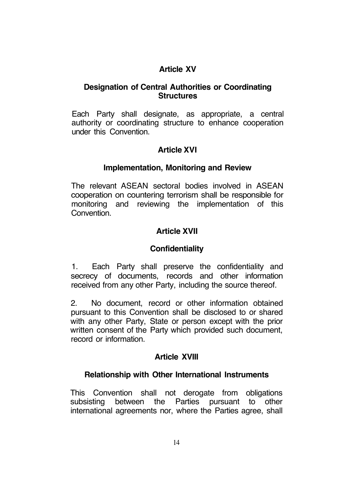# **Article XV**

### **Designation of Central Authorities or Coordinating Structures**

Each Party shall designate, as appropriate, a central authority or coordinating structure to enhance cooperation under this Convention.

# **Article XVI**

### **Implementation, Monitoring and Review**

The relevant ASEAN sectoral bodies involved in ASEAN cooperation on countering terrorism shall be responsible for monitoring and reviewing the implementation of this Convention.

# **Article XVII**

## **Confidentiality**

1. Each Party shall preserve the confidentiality and secrecy of documents, records and other information received from any other Party, including the source thereof.

2. No document, record or other information obtained pursuant to this Convention shall be disclosed to or shared with any other Party, State or person except with the prior written consent of the Party which provided such document, record or information.

## **Article XVIII**

### **Relationship with Other International Instruments**

This Convention shall not derogate from obligations subsisting between the Parties pursuant to other international agreements nor, where the Parties agree, shall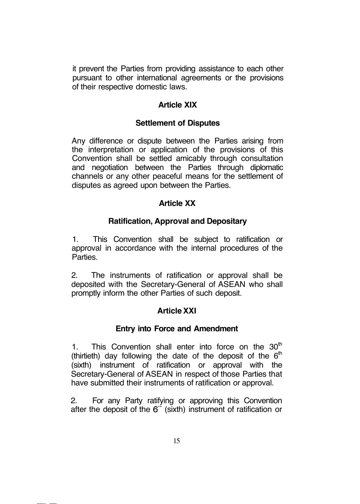it prevent the Parties from providing assistance to each other pursuant to other international agreements or the provisions of their respective domestic laws.

## **Article XIX**

## **Settlement of Disputes**

Any difference or dispute between the Parties arising from the interpretation or application of the provisions of this Convention shall be settled amicably through consultation and negotiation between the Parties through diplomatic channels or any other peaceful means for the settlement of disputes as agreed upon between the Parties.

## **Article XX**

### **Ratification, Approval and Depositary**

1. This Convention shall be subject to ratification or approval in accordance with the internal procedures of the Parties.

2. The instruments of ratification or approval shall be deposited with the Secretary-General of ASEAN who shall promptly inform the other Parties of such deposit.

## **Article XXI**

### **Entry into Force and Amendment**

1. This Convention shall enter into force on the  $30<sup>th</sup>$ (thirtieth) day following the date of the deposit of the  $6<sup>th</sup>$ (sixth) instrument of ratification or approval with the Secretary-General of ASEAN in respect of those Parties that have submitted their instruments of ratification or approval.

2. For any Party ratifying or approving this Convention after the deposit of the  $6<sup>+</sup>$  (sixth) instrument of ratification or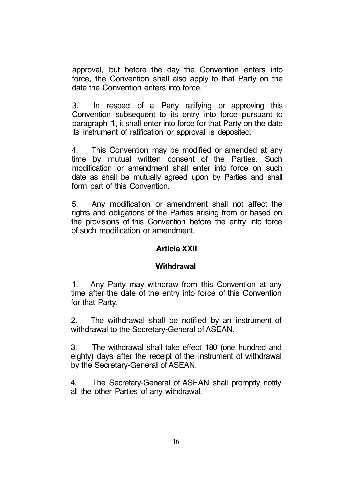approval, but before the day the Convention enters into force, the Convention shall also apply to that Party on the date the Convention enters into force.

3. In respect of a Party ratifying or approving this Convention subsequent to its entry into force pursuant to paragraph 1, it shall enter into force for that Party on the date its instrument of ratification or approval is deposited.

4. This Convention may be modified or amended at any time by mutual written consent of the Parties. Such modification or amendment shall enter into force on such date as shall be mutually agreed upon by Parties and shall form part of this Convention.

5. Any modification or amendment shall not affect the rights and obligations of the Parties arising from or based on the provisions of this Convention before the entry into force of such modification or amendment.

### **Article XXII**

### **Withdrawal**

1. Any Party may withdraw from this Convention at any time after the date of the entry into force of this Convention for that Party.

2. The withdrawal shall be notified by an instrument of withdrawal to the Secretary-General of ASEAN.

3. The withdrawal shall take effect 180 (one hundred and eighty) days after the receipt of the instrument of withdrawal by the Secretary-General of ASEAN.

4. The Secretary-General of ASEAN shall promptly notify all the other Parties of any withdrawal.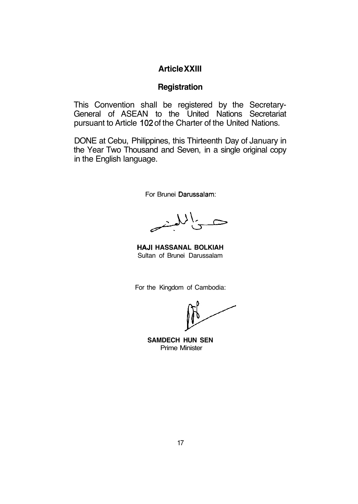## **Article XXIII**

### **Registration**

This Convention shall be registered by the Secretary-General of ASEAN to the United Nations Secretariat pursuant to Article 102 of the Charter of the United Nations.

DONE at Cebu, Philippines, this Thirteenth Day of January in the Year Two Thousand and Seven, in a single original copy in the English language.

For Brunei Darussalam:

いに

**HAJI HASSANAL BOLKIAH** Sultan of Brunei Darussalam

For the Kingdom of Cambodia:

**SAMDECH HUN SEN** Prime Minister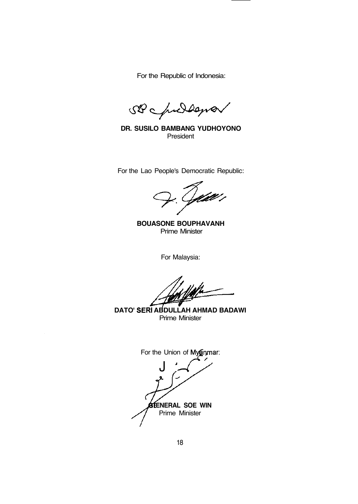For the Republic of Indonesia:

SB childana

**DR. SUSILO BAMBANG YUDHOYONO President** 

For the Lao People's Democratic Republic:

ift i

**BOUASONE BOUPHAVANH** Prime Minister

For Malaysia:

**DATO' SERI ABDULLAH AHMAD BADAWI** Prime Minister

For the Union of Myanmar: J *'* **ENERAL SOE WIN** Prime Minister